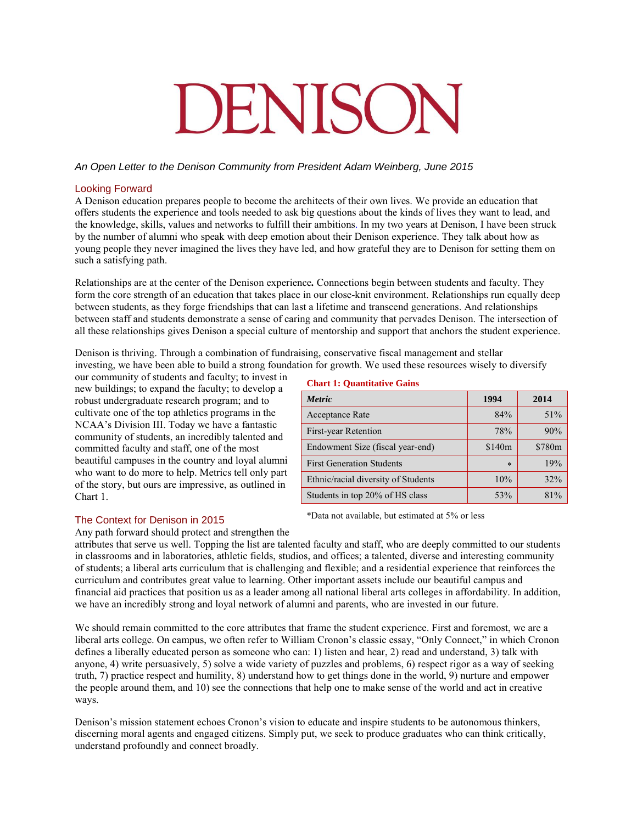# DENISON

# *An Open Letter to the Denison Community from President Adam Weinberg, June 2015*

# Looking Forward

A Denison education prepares people to become the architects of their own lives. We provide an education that offers students the experience and tools needed to ask big questions about the kinds of lives they want to lead, and the knowledge, skills, values and networks to fulfill their ambitions. In my two years at Denison, I have been struck by the number of alumni who speak with deep emotion about their Denison experience. They talk about how as young people they never imagined the lives they have led, and how grateful they are to Denison for setting them on such a satisfying path.

Relationships are at the center of the Denison experience*.* Connections begin between students and faculty. They form the core strength of an education that takes place in our close-knit environment. Relationships run equally deep between students, as they forge friendships that can last a lifetime and transcend generations. And relationships between staff and students demonstrate a sense of caring and community that pervades Denison. The intersection of all these relationships gives Denison a special culture of mentorship and support that anchors the student experience.

Denison is thriving. Through a combination of fundraising, conservative fiscal management and stellar investing, we have been able to build a strong foundation for growth. We used these resources wisely to diversify

our community of students and faculty; to invest in new buildings; to expand the faculty; to develop a robust undergraduate research program; and to cultivate one of the top athletics programs in the NCAA's Division III. Today we have a fantastic community of students, an incredibly talented and committed faculty and staff, one of the most beautiful campuses in the country and loyal alumni who want to do more to help. Metrics tell only part of the story, but ours are impressive, as outlined in Chart 1.

### **Chart 1: Quantitative Gains**

| <b>Metric</b>                       | 1994               | 2014   |
|-------------------------------------|--------------------|--------|
| <b>Acceptance Rate</b>              | 84%                | 51%    |
| First-year Retention                | 78%                | 90%    |
| Endowment Size (fiscal year-end)    | \$140 <sub>m</sub> | \$780m |
| <b>First Generation Students</b>    | $\ast$             | 19%    |
| Ethnic/racial diversity of Students | 10%                | 32%    |
| Students in top 20% of HS class     | 53%                | 81%    |

The Context for Denison in 2015

\*Data not available, but estimated at 5% or less

Any path forward should protect and strengthen the

attributes that serve us well. Topping the list are talented faculty and staff, who are deeply committed to our students in classrooms and in laboratories, athletic fields, studios, and offices; a talented, diverse and interesting community of students; a liberal arts curriculum that is challenging and flexible; and a residential experience that reinforces the curriculum and contributes great value to learning. Other important assets include our beautiful campus and financial aid practices that position us as a leader among all national liberal arts colleges in affordability. In addition, we have an incredibly strong and loyal network of alumni and parents, who are invested in our future.

We should remain committed to the core attributes that frame the student experience. First and foremost, we are a liberal arts college. On campus, we often refer to William Cronon's classic essay, "Only Connect," in which Cronon defines a liberally educated person as someone who can: 1) listen and hear, 2) read and understand, 3) talk with anyone, 4) write persuasively, 5) solve a wide variety of puzzles and problems, 6) respect rigor as a way of seeking truth, 7) practice respect and humility, 8) understand how to get things done in the world, 9) nurture and empower the people around them, and 10) see the connections that help one to make sense of the world and act in creative ways.

Denison's mission statement echoes Cronon's vision to educate and inspire students to be autonomous thinkers, discerning moral agents and engaged citizens. Simply put, we seek to produce graduates who can think critically, understand profoundly and connect broadly.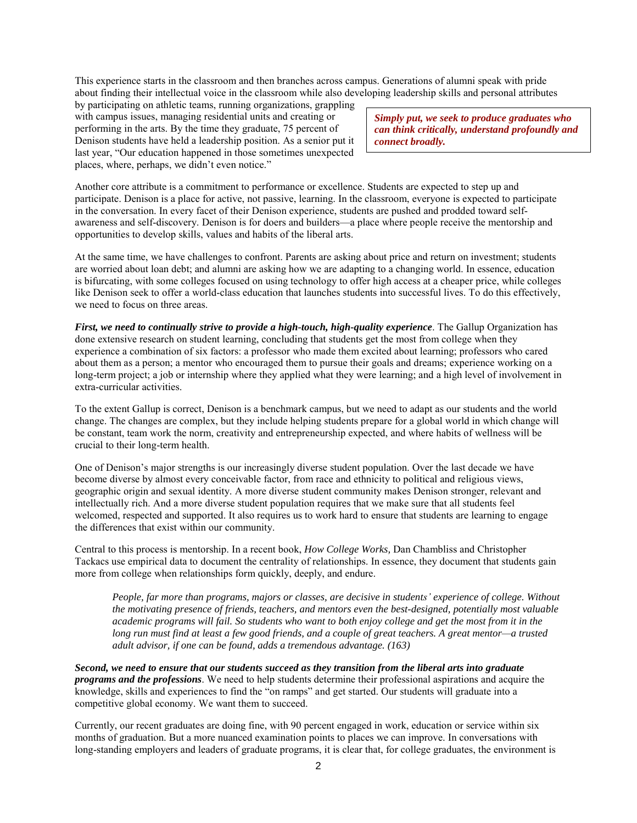This experience starts in the classroom and then branches across campus. Generations of alumni speak with pride about finding their intellectual voice in the classroom while also developing leadership skills and personal attributes

by participating on athletic teams, running organizations, grappling with campus issues, managing residential units and creating or performing in the arts. By the time they graduate, 75 percent of Denison students have held a leadership position. As a senior put it last year, "Our education happened in those sometimes unexpected places, where, perhaps, we didn't even notice."

*Simply put, we seek to produce graduates who can think critically, understand profoundly and connect broadly.*

Another core attribute is a commitment to performance or excellence. Students are expected to step up and participate. Denison is a place for active, not passive, learning. In the classroom, everyone is expected to participate in the conversation. In every facet of their Denison experience, students are pushed and prodded toward selfawareness and self-discovery. Denison is for doers and builders—a place where people receive the mentorship and opportunities to develop skills, values and habits of the liberal arts.

At the same time, we have challenges to confront. Parents are asking about price and return on investment; students are worried about loan debt; and alumni are asking how we are adapting to a changing world. In essence, education is bifurcating, with some colleges focused on using technology to offer high access at a cheaper price, while colleges like Denison seek to offer a world-class education that launches students into successful lives. To do this effectively, we need to focus on three areas.

*First, we need to continually strive to provide a high-touch, high-quality experience*. The Gallup Organization has done extensive research on student learning, concluding that students get the most from college when they experience a combination of six factors: a professor who made them excited about learning; professors who cared about them as a person; a mentor who encouraged them to pursue their goals and dreams; experience working on a long-term project; a job or internship where they applied what they were learning; and a high level of involvement in extra-curricular activities.

To the extent Gallup is correct, Denison is a benchmark campus, but we need to adapt as our students and the world change. The changes are complex, but they include helping students prepare for a global world in which change will be constant, team work the norm, creativity and entrepreneurship expected, and where habits of wellness will be crucial to their long-term health.

One of Denison's major strengths is our increasingly diverse student population. Over the last decade we have become diverse by almost every conceivable factor, from race and ethnicity to political and religious views, geographic origin and sexual identity. A more diverse student community makes Denison stronger, relevant and intellectually rich. And a more diverse student population requires that we make sure that all students feel welcomed, respected and supported. It also requires us to work hard to ensure that students are learning to engage the differences that exist within our community.

Central to this process is mentorship. In a recent book, *How College Works,* Dan Chambliss and Christopher Tackacs use empirical data to document the centrality of relationships. In essence, they document that students gain more from college when relationships form quickly, deeply, and endure.

*People, far more than programs, majors or classes, are decisive in students' experience of college. Without the motivating presence of friends, teachers, and mentors even the best-designed, potentially most valuable academic programs will fail. So students who want to both enjoy college and get the most from it in the long run must find at least a few good friends, and a couple of great teachers. A great mentor—a trusted adult advisor, if one can be found, adds a tremendous advantage. (163)* 

*Second, we need to ensure that our students succeed as they transition from the liberal arts into graduate programs and the professions*. We need to help students determine their professional aspirations and acquire the knowledge, skills and experiences to find the "on ramps" and get started. Our students will graduate into a competitive global economy. We want them to succeed.

Currently, our recent graduates are doing fine, with 90 percent engaged in work, education or service within six months of graduation. But a more nuanced examination points to places we can improve. In conversations with long-standing employers and leaders of graduate programs, it is clear that, for college graduates, the environment is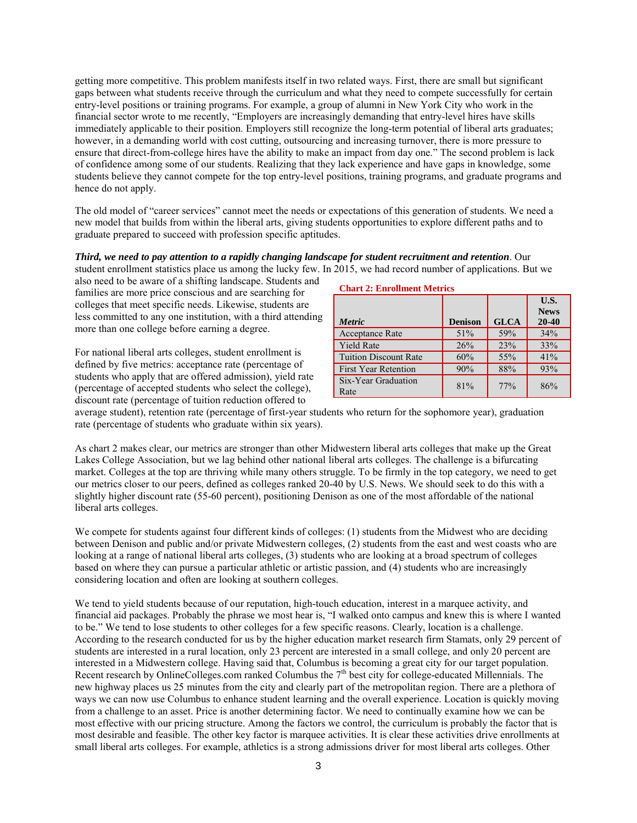getting more competitive. This problem manifests itself in two related ways. First, there are small but significant gaps between what students receive through the curriculum and what they need to compete successfully for certain entry-level positions or training programs. For example, a group of alumni in New York City who work in the financial sector wrote to me recently, "Employers are increasingly demanding that entry-level hires have skills immediately applicable to their position. Employers still recognize the long-term potential of liberal arts graduates; however, in a demanding world with cost cutting, outsourcing and increasing turnover, there is more pressure to ensure that direct-from-college hires have the ability to make an impact from day one." The second problem is lack of confidence among some of our students. Realizing that they lack experience and have gaps in knowledge, some students believe they cannot compete for the top entry-level positions, training programs, and graduate programs and hence do not apply.

The old model of "career services" cannot meet the needs or expectations of this generation of students. We need a new model that builds from within the liberal arts, giving students opportunities to explore different paths and to graduate prepared to succeed with profession specific aptitudes.

### *Third, we need to pay attention to a rapidly changing landscape for student recruitment and retention*. Our student enrollment statistics place us among the lucky few. In 2015, we had record number of applications. But we

also need to be aware of a shifting landscape. Students and families are more price conscious and are searching for colleges that meet specific needs. Likewise, students are less committed to any one institution, with a third attending more than one college before earning a degree.

For national liberal arts colleges, student enrollment is defined by five metrics: acceptance rate (percentage of students who apply that are offered admission), yield rate (percentage of accepted students who select the college), discount rate (percentage of tuition reduction offered to

# **Chart 2: Enrollment Metrics**

|                              |                |             | U.S.                     |
|------------------------------|----------------|-------------|--------------------------|
| <b>Metric</b>                | <b>Denison</b> | <b>GLCA</b> | <b>News</b><br>$20 - 40$ |
| <b>Acceptance Rate</b>       | 51%            | 59%         | 34%                      |
| <b>Yield Rate</b>            | 26%            | 23%         | 33%                      |
| <b>Tuition Discount Rate</b> | 60%            | 55%         | 41%                      |
| <b>First Year Retention</b>  | 90%            | 88%         | 93%                      |
| Six-Year Graduation<br>Rate  | 81%            | 77%         | 86%                      |

average student), retention rate (percentage of first-year students who return for the sophomore year), graduation rate (percentage of students who graduate within six years).

As chart 2 makes clear, our metrics are stronger than other Midwestern liberal arts colleges that make up the Great Lakes College Association, but we lag behind other national liberal arts colleges. The challenge is a bifurcating market. Colleges at the top are thriving while many others struggle. To be firmly in the top category, we need to get our metrics closer to our peers, defined as colleges ranked 20-40 by U.S. News. We should seek to do this with a slightly higher discount rate (55-60 percent), positioning Denison as one of the most affordable of the national liberal arts colleges.

We compete for students against four different kinds of colleges: (1) students from the Midwest who are deciding between Denison and public and/or private Midwestern colleges, (2) students from the east and west coasts who are looking at a range of national liberal arts colleges, (3) students who are looking at a broad spectrum of colleges based on where they can pursue a particular athletic or artistic passion, and (4) students who are increasingly considering location and often are looking at southern colleges.

We tend to yield students because of our reputation, high-touch education, interest in a marquee activity, and financial aid packages. Probably the phrase we most hear is, "I walked onto campus and knew this is where I wanted to be." We tend to lose students to other colleges for a few specific reasons. Clearly, location is a challenge. According to the research conducted for us by the higher education market research firm Stamats, only 29 percent of students are interested in a rural location, only 23 percent are interested in a small college, and only 20 percent are interested in a Midwestern college. Having said that, Columbus is becoming a great city for our target population. Recent research by OnlineColleges.com ranked Columbus the 7<sup>th</sup> best city for college-educated Millennials. The new highway places us 25 minutes from the city and clearly part of the metropolitan region. There are a plethora of ways we can now use Columbus to enhance student learning and the overall experience. Location is quickly moving from a challenge to an asset. Price is another determining factor. We need to continually examine how we can be most effective with our pricing structure. Among the factors we control, the curriculum is probably the factor that is most desirable and feasible. The other key factor is marquee activities. It is clear these activities drive enrollments at small liberal arts colleges. For example, athletics is a strong admissions driver for most liberal arts colleges. Other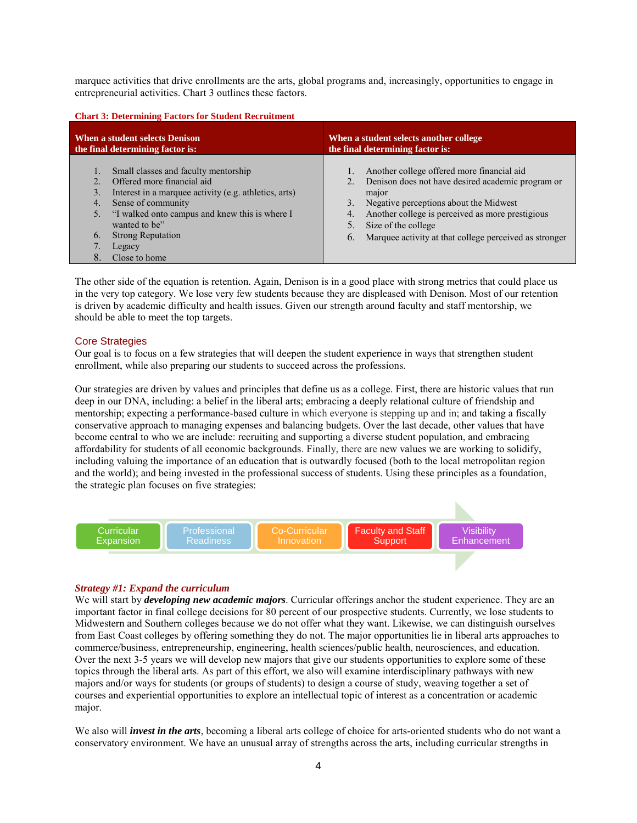marquee activities that drive enrollments are the arts, global programs and, increasingly, opportunities to engage in entrepreneurial activities. Chart 3 outlines these factors.

| <b>Chart 3: Determining Factors for Student Recruitment</b>                                                                                                                                                                                                                                                         |                                                                                                                                                                                                                                                                                                                       |  |  |  |
|---------------------------------------------------------------------------------------------------------------------------------------------------------------------------------------------------------------------------------------------------------------------------------------------------------------------|-----------------------------------------------------------------------------------------------------------------------------------------------------------------------------------------------------------------------------------------------------------------------------------------------------------------------|--|--|--|
| When a student selects Denison<br>the final determining factor is:                                                                                                                                                                                                                                                  | When a student selects another college<br>the final determining factor is:                                                                                                                                                                                                                                            |  |  |  |
| Small classes and faculty mentorship<br>Offered more financial aid<br>Interest in a marquee activity (e.g. athletics, arts)<br>3.<br>Sense of community<br>4.<br>"I walked onto campus and knew this is where I<br>5.<br>wanted to be"<br><b>Strong Reputation</b><br>$\mathbf{6}$<br>Legacy<br>8.<br>Close to home | Another college offered more financial aid<br>Denison does not have desired academic program or<br>2.<br>major<br>Negative perceptions about the Midwest<br>3.<br>Another college is perceived as more prestigious<br>4.<br>5.<br>Size of the college<br>Marquee activity at that college perceived as stronger<br>6. |  |  |  |

The other side of the equation is retention. Again, Denison is in a good place with strong metrics that could place us in the very top category. We lose very few students because they are displeased with Denison. Most of our retention is driven by academic difficulty and health issues. Given our strength around faculty and staff mentorship, we should be able to meet the top targets.

# Core Strategies

Our goal is to focus on a few strategies that will deepen the student experience in ways that strengthen student enrollment, while also preparing our students to succeed across the professions.

Our strategies are driven by values and principles that define us as a college. First, there are historic values that run deep in our DNA, including: a belief in the liberal arts; embracing a deeply relational culture of friendship and mentorship; expecting a performance-based culture in which everyone is stepping up and in; and taking a fiscally conservative approach to managing expenses and balancing budgets. Over the last decade, other values that have become central to who we are include: recruiting and supporting a diverse student population, and embracing affordability for students of all economic backgrounds. Finally, there are new values we are working to solidify, including valuing the importance of an education that is outwardly focused (both to the local metropolitan region and the world); and being invested in the professional success of students. Using these principles as a foundation, the strategic plan focuses on five strategies:



# *Strategy #1: Expand the curriculum*

We will start by *developing new academic majors*. Curricular offerings anchor the student experience. They are an important factor in final college decisions for 80 percent of our prospective students. Currently, we lose students to Midwestern and Southern colleges because we do not offer what they want. Likewise, we can distinguish ourselves from East Coast colleges by offering something they do not. The major opportunities lie in liberal arts approaches to commerce/business, entrepreneurship, engineering, health sciences/public health, neurosciences, and education. Over the next 3-5 years we will develop new majors that give our students opportunities to explore some of these topics through the liberal arts. As part of this effort, we also will examine interdisciplinary pathways with new majors and/or ways for students (or groups of students) to design a course of study, weaving together a set of courses and experiential opportunities to explore an intellectual topic of interest as a concentration or academic major.

We also will *invest in the arts*, becoming a liberal arts college of choice for arts-oriented students who do not want a conservatory environment. We have an unusual array of strengths across the arts, including curricular strengths in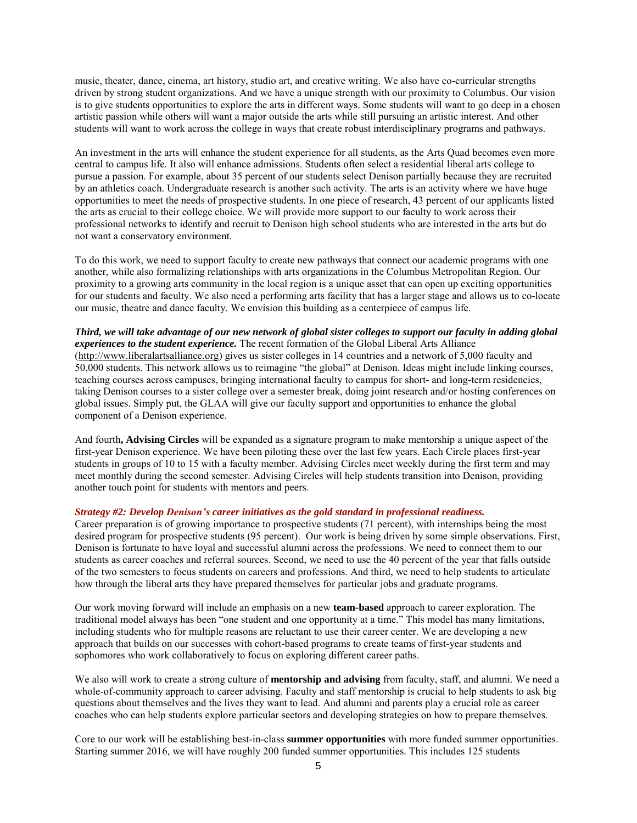music, theater, dance, cinema, art history, studio art, and creative writing. We also have co-curricular strengths driven by strong student organizations. And we have a unique strength with our proximity to Columbus. Our vision is to give students opportunities to explore the arts in different ways. Some students will want to go deep in a chosen artistic passion while others will want a major outside the arts while still pursuing an artistic interest. And other students will want to work across the college in ways that create robust interdisciplinary programs and pathways.

An investment in the arts will enhance the student experience for all students, as the Arts Quad becomes even more central to campus life. It also will enhance admissions. Students often select a residential liberal arts college to pursue a passion. For example, about 35 percent of our students select Denison partially because they are recruited by an athletics coach. Undergraduate research is another such activity. The arts is an activity where we have huge opportunities to meet the needs of prospective students. In one piece of research, 43 percent of our applicants listed the arts as crucial to their college choice. We will provide more support to our faculty to work across their professional networks to identify and recruit to Denison high school students who are interested in the arts but do not want a conservatory environment.

To do this work, we need to support faculty to create new pathways that connect our academic programs with one another, while also formalizing relationships with arts organizations in the Columbus Metropolitan Region. Our proximity to a growing arts community in the local region is a unique asset that can open up exciting opportunities for our students and faculty. We also need a performing arts facility that has a larger stage and allows us to co-locate our music, theatre and dance faculty. We envision this building as a centerpiece of campus life.

*Third, we will take advantage of our new network of global sister colleges to support our faculty in adding global experiences to the student experience.* The recent formation of the Global Liberal Arts Alliance [\(http://www.liberalartsalliance.org\)](http://www.liberalartsalliance.org/) gives us sister colleges in 14 countries and a network of 5,000 faculty and 50,000 students. This network allows us to reimagine "the global" at Denison. Ideas might include linking courses, teaching courses across campuses, bringing international faculty to campus for short- and long-term residencies, taking Denison courses to a sister college over a semester break, doing joint research and/or hosting conferences on global issues. Simply put, the GLAA will give our faculty support and opportunities to enhance the global component of a Denison experience.

And fourth**, Advising Circles** will be expanded as a signature program to make mentorship a unique aspect of the first-year Denison experience. We have been piloting these over the last few years. Each Circle places first-year students in groups of 10 to 15 with a faculty member. Advising Circles meet weekly during the first term and may meet monthly during the second semester. Advising Circles will help students transition into Denison, providing another touch point for students with mentors and peers.

#### *Strategy #2: Develop Denison's career initiatives as the gold standard in professional readiness.*

Career preparation is of growing importance to prospective students (71 percent), with internships being the most desired program for prospective students (95 percent). Our work is being driven by some simple observations. First, Denison is fortunate to have loyal and successful alumni across the professions. We need to connect them to our students as career coaches and referral sources. Second, we need to use the 40 percent of the year that falls outside of the two semesters to focus students on careers and professions. And third, we need to help students to articulate how through the liberal arts they have prepared themselves for particular jobs and graduate programs.

Our work moving forward will include an emphasis on a new **team-based** approach to career exploration. The traditional model always has been "one student and one opportunity at a time." This model has many limitations, including students who for multiple reasons are reluctant to use their career center. We are developing a new approach that builds on our successes with cohort-based programs to create teams of first-year students and sophomores who work collaboratively to focus on exploring different career paths.

We also will work to create a strong culture of **mentorship and advising** from faculty, staff, and alumni. We need a whole-of-community approach to career advising. Faculty and staff mentorship is crucial to help students to ask big questions about themselves and the lives they want to lead. And alumni and parents play a crucial role as career coaches who can help students explore particular sectors and developing strategies on how to prepare themselves.

Core to our work will be establishing best-in-class **summer opportunities** with more funded summer opportunities. Starting summer 2016, we will have roughly 200 funded summer opportunities. This includes 125 students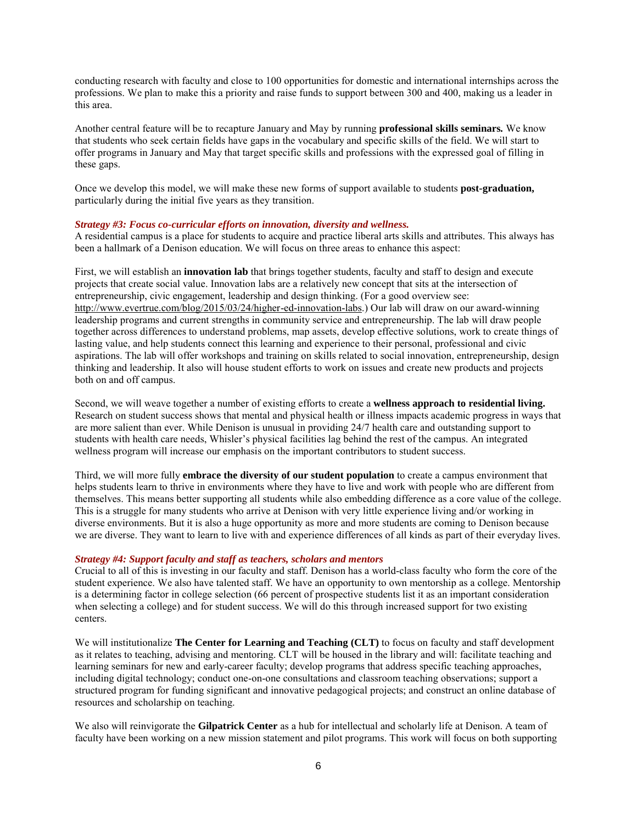conducting research with faculty and close to 100 opportunities for domestic and international internships across the professions. We plan to make this a priority and raise funds to support between 300 and 400, making us a leader in this area.

Another central feature will be to recapture January and May by running **professional skills seminars***.* We know that students who seek certain fields have gaps in the vocabulary and specific skills of the field. We will start to offer programs in January and May that target specific skills and professions with the expressed goal of filling in these gaps.

Once we develop this model, we will make these new forms of support available to students **post-graduation,**  particularly during the initial five years as they transition.

#### *Strategy #3: Focus co-curricular efforts on innovation, diversity and wellness.*

A residential campus is a place for students to acquire and practice liberal arts skills and attributes. This always has been a hallmark of a Denison education. We will focus on three areas to enhance this aspect:

First, we will establish an **innovation lab** that brings together students, faculty and staff to design and execute projects that create social value. Innovation labs are a relatively new concept that sits at the intersection of entrepreneurship, civic engagement, leadership and design thinking. (For a good overview see: [http://www.evertrue.com/blog/2015/03/24/higher-ed-innovation-labs.](http://www.evertrue.com/blog/2015/03/24/higher-ed-innovation-labs)) Our lab will draw on our award-winning leadership programs and current strengths in community service and entrepreneurship. The lab will draw people together across differences to understand problems, map assets, develop effective solutions, work to create things of lasting value, and help students connect this learning and experience to their personal, professional and civic aspirations. The lab will offer workshops and training on skills related to social innovation, entrepreneurship, design thinking and leadership. It also will house student efforts to work on issues and create new products and projects both on and off campus.

Second, we will weave together a number of existing efforts to create a **wellness approach to residential living.**  Research on student success shows that mental and physical health or illness impacts academic progress in ways that are more salient than ever. While Denison is unusual in providing 24/7 health care and outstanding support to students with health care needs, Whisler's physical facilities lag behind the rest of the campus. An integrated wellness program will increase our emphasis on the important contributors to student success.

Third, we will more fully **embrace the diversity of our student population** to create a campus environment that helps students learn to thrive in environments where they have to live and work with people who are different from themselves. This means better supporting all students while also embedding difference as a core value of the college. This is a struggle for many students who arrive at Denison with very little experience living and/or working in diverse environments. But it is also a huge opportunity as more and more students are coming to Denison because we are diverse. They want to learn to live with and experience differences of all kinds as part of their everyday lives.

### *Strategy #4: Support faculty and staff as teachers, scholars and mentors*

Crucial to all of this is investing in our faculty and staff. Denison has a world-class faculty who form the core of the student experience. We also have talented staff. We have an opportunity to own mentorship as a college. Mentorship is a determining factor in college selection (66 percent of prospective students list it as an important consideration when selecting a college) and for student success. We will do this through increased support for two existing centers.

We will institutionalize **The Center for Learning and Teaching (CLT)** to focus on faculty and staff development as it relates to teaching, advising and mentoring. CLT will be housed in the library and will: facilitate teaching and learning seminars for new and early-career faculty; develop programs that address specific teaching approaches, including digital technology; conduct one-on-one consultations and classroom teaching observations; support a structured program for funding significant and innovative pedagogical projects; and construct an online database of resources and scholarship on teaching.

We also will reinvigorate the **Gilpatrick Center** as a hub for intellectual and scholarly life at Denison. A team of faculty have been working on a new mission statement and pilot programs. This work will focus on both supporting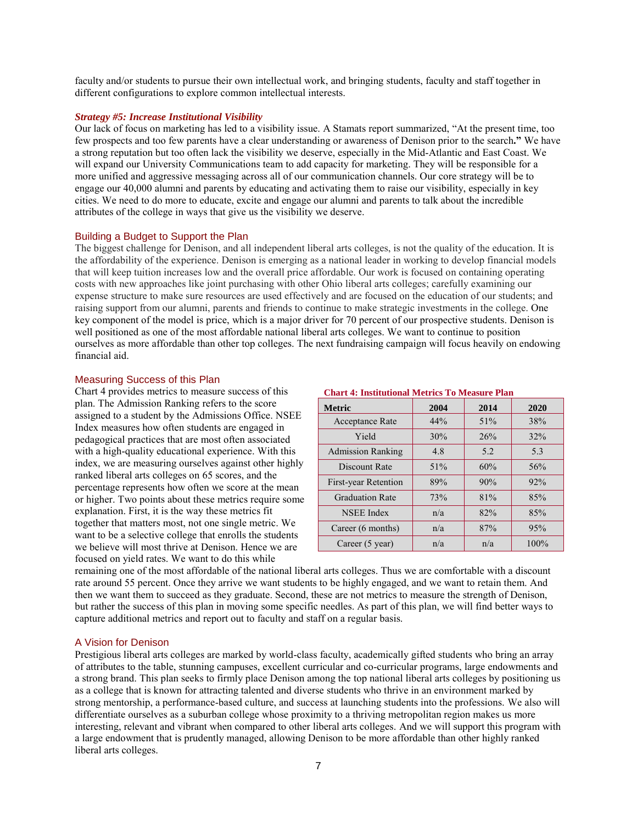faculty and/or students to pursue their own intellectual work, and bringing students, faculty and staff together in different configurations to explore common intellectual interests.

# *Strategy #5: Increase Institutional Visibility*

Our lack of focus on marketing has led to a visibility issue. A Stamats report summarized, "At the present time, too few prospects and too few parents have a clear understanding or awareness of Denison prior to the search**."** We have a strong reputation but too often lack the visibility we deserve, especially in the Mid-Atlantic and East Coast. We will expand our University Communications team to add capacity for marketing. They will be responsible for a more unified and aggressive messaging across all of our communication channels. Our core strategy will be to engage our 40,000 alumni and parents by educating and activating them to raise our visibility, especially in key cities. We need to do more to educate, excite and engage our alumni and parents to talk about the incredible attributes of the college in ways that give us the visibility we deserve.

# Building a Budget to Support the Plan

The biggest challenge for Denison, and all independent liberal arts colleges, is not the quality of the education. It is the affordability of the experience. Denison is emerging as a national leader in working to develop financial models that will keep tuition increases low and the overall price affordable. Our work is focused on containing operating costs with new approaches like joint purchasing with other Ohio liberal arts colleges; carefully examining our expense structure to make sure resources are used effectively and are focused on the education of our students; and raising support from our alumni, parents and friends to continue to make strategic investments in the college. One key component of the model is price, which is a major driver for 70 percent of our prospective students. Denison is well positioned as one of the most affordable national liberal arts colleges. We want to continue to position ourselves as more affordable than other top colleges. The next fundraising campaign will focus heavily on endowing financial aid.

# Measuring Success of this Plan

Chart 4 provides metrics to measure success of this plan. The Admission Ranking refers to the score assigned to a student by the Admissions Office. NSEE Index measures how often students are engaged in pedagogical practices that are most often associated with a high-quality educational experience. With this index, we are measuring ourselves against other highly ranked liberal arts colleges on 65 scores, and the percentage represents how often we score at the mean or higher. Two points about these metrics require some explanation. First, it is the way these metrics fit together that matters most, not one single metric. We want to be a selective college that enrolls the students we believe will most thrive at Denison. Hence we are focused on yield rates. We want to do this while

#### **Chart 4: Institutional Metrics To Measure Plan**

| <b>Metric</b>            | 2004 | 2014 | 2020 |
|--------------------------|------|------|------|
| <b>Acceptance Rate</b>   | 44%  | 51%  | 38%  |
| Yield                    | 30%  | 26%  | 32%  |
| <b>Admission Ranking</b> | 4.8  | 5.2  | 5.3  |
| Discount Rate            | 51%  | 60%  | 56%  |
| First-year Retention     | 89%  | 90%  | 92%  |
| <b>Graduation Rate</b>   | 73%  | 81%  | 85%  |
| <b>NSEE</b> Index        | n/a  | 82%  | 85%  |
| Career (6 months)        | n/a  | 87%  | 95%  |
| Career (5 year)          | n/a  | n/a  | 100% |

remaining one of the most affordable of the national liberal arts colleges. Thus we are comfortable with a discount rate around 55 percent. Once they arrive we want students to be highly engaged, and we want to retain them. And then we want them to succeed as they graduate. Second, these are not metrics to measure the strength of Denison, but rather the success of this plan in moving some specific needles. As part of this plan, we will find better ways to capture additional metrics and report out to faculty and staff on a regular basis.

# A Vision for Denison

Prestigious liberal arts colleges are marked by world-class faculty, academically gifted students who bring an array of attributes to the table, stunning campuses, excellent curricular and co-curricular programs, large endowments and a strong brand. This plan seeks to firmly place Denison among the top national liberal arts colleges by positioning us as a college that is known for attracting talented and diverse students who thrive in an environment marked by strong mentorship, a performance-based culture, and success at launching students into the professions. We also will differentiate ourselves as a suburban college whose proximity to a thriving metropolitan region makes us more interesting, relevant and vibrant when compared to other liberal arts colleges. And we will support this program with a large endowment that is prudently managed, allowing Denison to be more affordable than other highly ranked liberal arts colleges.